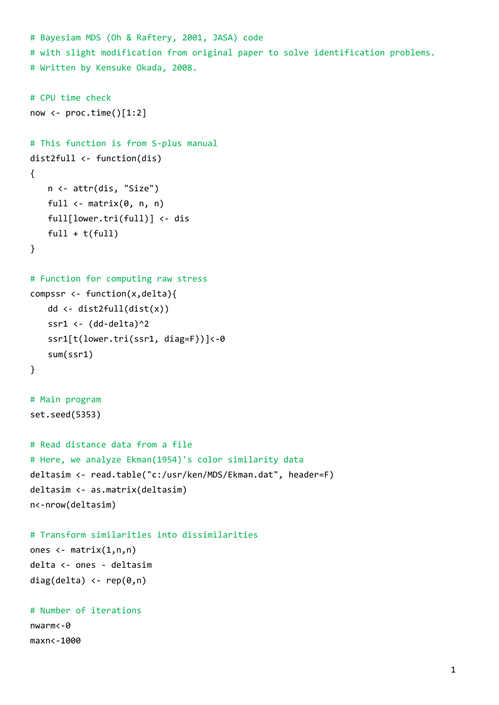```
# Bayesiam MDS (Oh & Raftery, 2001, JASA) code  
# with slight modification from original paper to solve identification problems.
# Written by Kensuke Okada, 2008.
# CPU time check
now \leftarrow proc.time()[1:2]
# This function is from S‐plus manual
dist2full <‐ function(dis)
{
   n <‐ attr(dis, "Size")
   full \leftarrow matrix(\theta, n, n)
   full[lower.tri(full)] <‐ dis
   full + t(full)}
# Function for computing raw stress
compssr \leftarrow function(x,delta){
   dd <‐ dist2full(dist(x))
   ssr1 <- (dd-delta)^2
   ssr1[t(lower.tri(ssr1, diag=F))]<‐0
   sum(ssr1)
}
# Main program
set.seed(5353)
# Read distance data from a file
# Here, we analyze Ekman(1954)'s color similarity data
deltasim <‐ read.table("c:/usr/ken/MDS/Ekman.dat", header=F)
deltasim <‐ as.matrix(deltasim)
n<‐nrow(deltasim)
# Transform similarities into dissimilarities
ones \leftarrow matrix(1,n,n)delta <‐ ones ‐ deltasim
diag(delta) \leftarrow rep(0,n)
# Number of iterations
nwarm<‐0
maxn<‐1000
```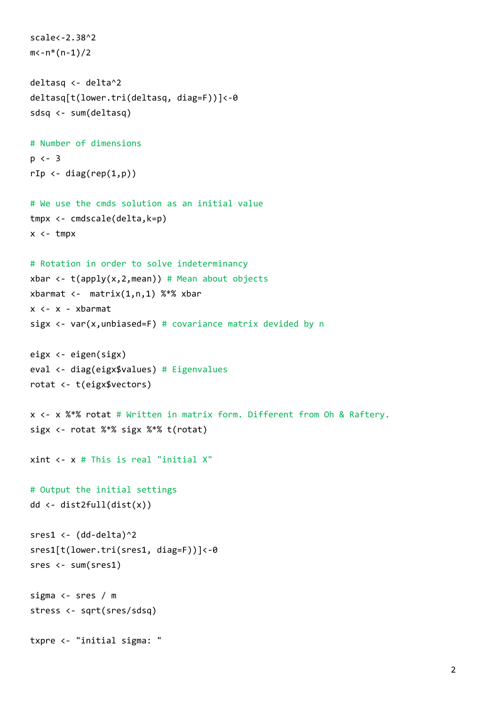```
scale<‐2.38^2
m<-n*(n-1)/2deltasq <‐ delta^2
deltasq[t(lower.tri(deltasq, diag=F))]<‐0
sdsq <‐ sum(deltasq)
# Number of dimensions
p <‐ 3  
rIp \leftarrow diag(rep(1,p))# We use the cmds solution as an initial value
tmpx <‐ cmdscale(delta,k=p)
x <‐ tmpx
# Rotation in order to solve indeterminancy
xbar <- t(apply(x,2,mean)) # Mean about objects
xbarmat <- matrix(1,n,1) %*% xbar
x <‐ x ‐ xbarmat
sigx \leftarrow var(x, unbiased=F) # covariance matrix devided by n
eigx <‐ eigen(sigx)
eval <‐ diag(eigx$values) # Eigenvalues
rotat <‐ t(eigx$vectors)
x <‐ x %*% rotat # Written in matrix form. Different from Oh & Raftery.
sigx <‐ rotat %*% sigx %*% t(rotat)
xint <‐ x # This is real "initial X"
# Output the initial settings
dd <‐ dist2full(dist(x))
sres1 <- (dd-delta)^2
sres1[t(lower.tri(sres1, diag=F))]<-0
sres <‐ sum(sres1)
sigma <‐ sres / m
stress <‐ sqrt(sres/sdsq)
txpre <‐ "initial sigma: "
```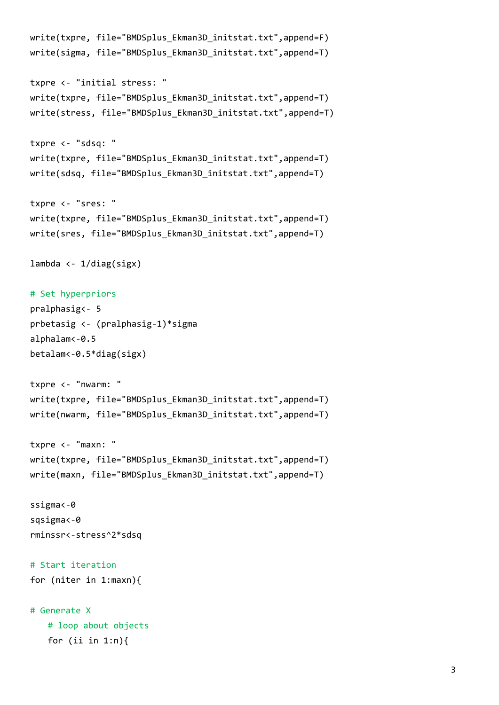```
write(txpre, file="BMDSplus Ekman3D initstat.txt",append=F)
write(sigma, file="BMDSplus Ekman3D initstat.txt",append=T)
txpre <‐ "initial stress: "
write(txpre, file="BMDSplus Ekman3D initstat.txt",append=T)
write(stress, file="BMDSplus Ekman3D initstat.txt",append=T)
txpre <‐ "sdsq: "
write(txpre, file="BMDSplus_Ekman3D_initstat.txt",append=T)
write(sdsq, file="BMDSplus Ekman3D initstat.txt",append=T)
txpre <‐ "sres: "
write(txpre, file="BMDSplus_Ekman3D_initstat.txt",append=T)
write(sres, file="BMDSplus Ekman3D initstat.txt",append=T)
lambda \leftarrow 1/diag(sigx)
# Set hyperpriors
pralphasig<‐ 5
prbetasig <‐ (pralphasig‐1)*sigma
alphalam<‐0.5
betalam<‐0.5*diag(sigx)
txpre <‐ "nwarm: "
write(txpre, file="BMDSplus_Ekman3D_initstat.txt",append=T)
write(nwarm, file="BMDSplus_Ekman3D_initstat.txt",append=T)
txpre <‐ "maxn: "
write(txpre, file="BMDSplus Ekman3D initstat.txt",append=T)
write(maxn, file="BMDSplus_Ekman3D_initstat.txt",append=T)
ssigma<‐0
sqsigma<‐0
rminssr<‐stress^2*sdsq
# Start iteration
for (niter in 1:maxn){  
# Generate X
   # loop about objects
```
for (ii in  $1:n$ ){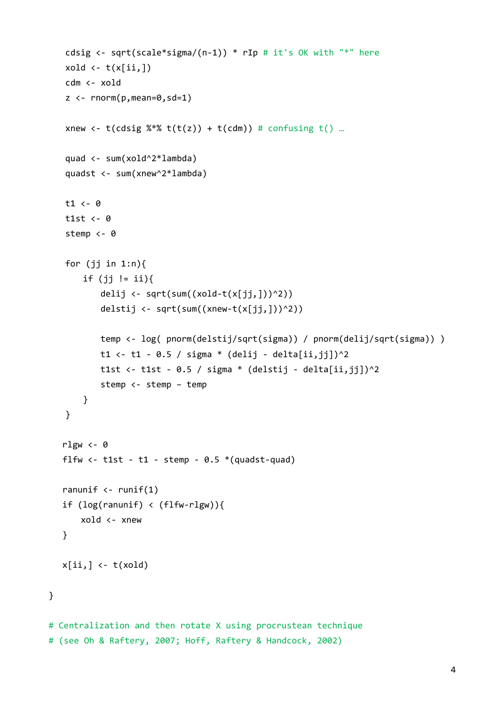```
cdsig <- sqrt(scale*sigma/(n-1)) * rIp # it's OK with "*" here
   xold \leftarrow t(x[i],])cdm <‐ xold
   z \leftarrow \text{rnorm}(p, \text{mean=0}, \text{sd=1})xnew \leftarrow t(cdsig %*% t(t(z)) + t(cdm)) # confusing t() ...
   quad <‐ sum(xold^2*lambda)
           quadst <‐ sum(xnew^2*lambda)
   t1 <‐ 0
   t1st \leftarrow 0
   stemp <- 0
   for (jj in 1:n (if (jj != ii){
           delij <- sqrt(sum((xold-t(x[jj,]))^2))
           delstij <- sqrt(sum((xnew-t(x[jj,]))^2))
           temp <‐ log( pnorm(delstij/sqrt(sigma)) / pnorm(delij/sqrt(sigma)) )
           t1 <- t1 - 0.5 / sigma * (delij - delta[ii, jj])^2
           t1st <- t1st - 0.5 / sigma * (delstij - delta[ii,jj])^2
           stemp <‐ stemp – temp
       }
   }
   rlgw <-0flfw \leftarrow t1st - t1 - stemp - 0.5 *(quadranunif \left\langle -\right\rangle runif(1)
   if (log(ranunif) < (flfw-rlgw))           xold <‐ xnew
          }
  x[i, ] \leftarrow t(xold)    # Centralization and then rotate X using procrustean technique
# (see Oh & Raftery, 2007; Hoff, Raftery & Handcock, 2002)
```
}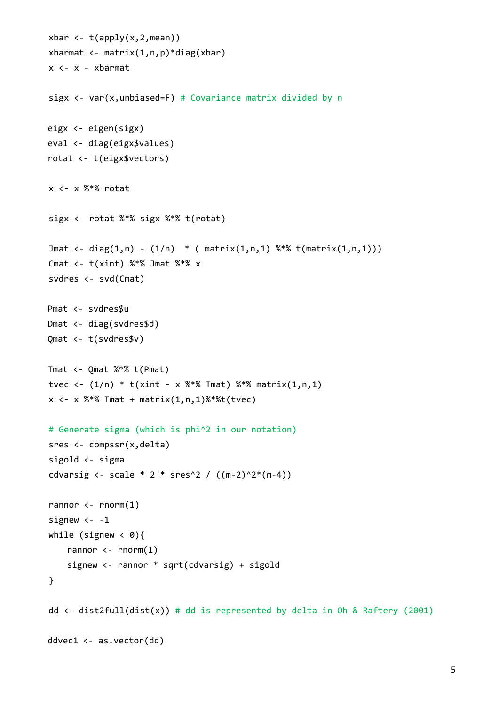```
xbar \leftarrow t(apply(x,2,mean))
xbarmat \langle - \text{matrix}(1,n,p) \rangle^*diag(xbar)
    x <‐ x ‐ xbarmat
sigx \leftarrow var(x, unbiased=F) # Covariance matrix divided by n
eigx <‐ eigen(sigx)
eval <‐ diag(eigx$values)  
rotat <‐ t(eigx$vectors)
    x <‐ x %*% rotat
    sigx <‐ rotat %*% sigx %*% t(rotat)
Jmat <- diag(1,n) - (1/n) * ( matrix(1,n,1) %*% t(matrix(1,n,1)))
Cmat \leftarrow t(xint) %*% Jmat %*% x
    svdres <‐ svd(Cmat)
Pmat <‐ svdres$u
Dmat <‐ diag(svdres$d)
Qmat <‐ t(svdres$v)
Tmat <‐ Qmat %*% t(Pmat)
tvec \left\langle -\frac{1}{n} \right\rangle * t(xint - x %^* x Tmat) % ** matrix(1, n, 1)x \leftarrow x %*% Tmat + matrix(1, n, 1)%*%t(t \vee c)# Generate sigma (which is phi^2 in our notation)
sres <- compssr(x,delta)
    sigold <‐ sigma
cdvarsig <- scale * 2 * sres^2 / ((m-2)^2*(m-4))rannor \leftarrow rnorm(1)signew <-1while (signew \langle 0){
    rannor \leftarrow rnorm(1)signew <- rannor * sqrt(cdvarsig) + sigold
    }
dd \langle- dist2full(dist(x)) # dd is represented by delta in Oh & Raftery (2001)
ddvec1 <‐ as.vector(dd)
```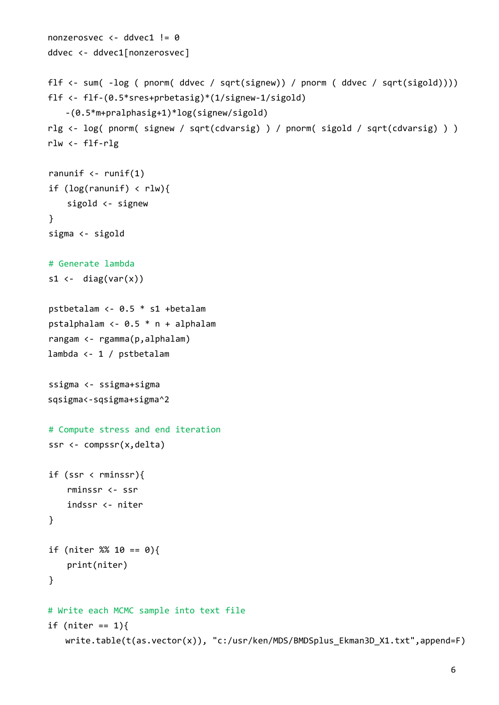```
nonzerosvec <‐ ddvec1 != 0
ddvec <‐ ddvec1[nonzerosvec]
flf <‐ sum( ‐log ( pnorm( ddvec / sqrt(signew)) / pnorm ( ddvec / sqrt(sigold))))     
flf <‐ flf‐(0.5*sres+prbetasig)*(1/signew‐1/sigold)
    ‐(0.5*m+pralphasig+1)*log(signew/sigold)   
rlg <‐ log( pnorm( signew / sqrt(cdvarsig) ) / pnorm( sigold / sqrt(cdvarsig) ) )
rlw <‐ flf‐rlg
ranunif \left\langle -\right\rangle runif(1)
if (log(ranunif) < rlw){
            sigold <‐ signew
    }
    sigma <‐ sigold
    # Generate lambda
s1 \leftarrow diag(var(x))
    pstbetalam <‐ 0.5 * s1 +betalam
    pstalphalam <‐ 0.5 * n + alphalam
    rangam <‐ rgamma(p,alphalam)
lambda <‐ 1 / pstbetalam  
    ssigma <‐ ssigma+sigma
sqsigma<‐sqsigma+sigma^2
    # Compute stress and end iteration
ssr <- compssr(x,delta)
if (ssr \langle rminssr){
            rminssr <‐ ssr
            indssr <‐ niter
    }
if (niter % 10 == 0){
            print(niter)
    }
# Write each MCMC sample into text file
if (niter == 1){
       write.table(t(as.vector(x)), "c:/usr/ken/MDS/BMDSplus_Ekman3D_X1.txt",append=F)
```